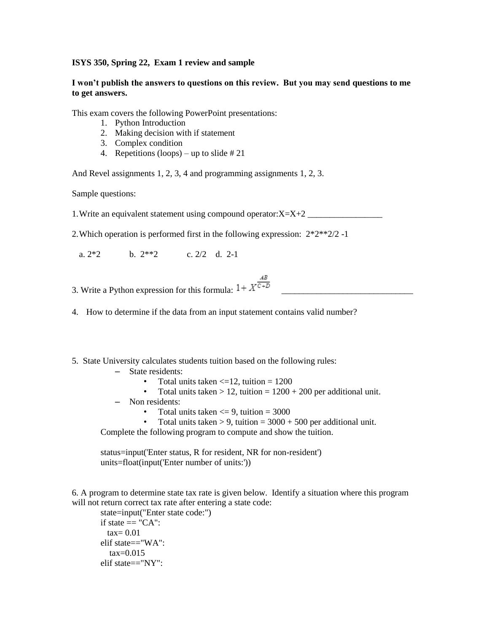## **ISYS 350, Spring 22, Exam 1 review and sample**

## **I won't publish the answers to questions on this review. But you may send questions to me to get answers.**

This exam covers the following PowerPoint presentations:

- 1. Python Introduction
- 2. Making decision with if statement
- 3. Complex condition
- 4. Repetitions (loops) up to slide  $\# 21$

And Revel assignments 1, 2, 3, 4 and programming assignments 1, 2, 3.

Sample questions:

1. Write an equivalent statement using compound operator: $X=X+2$ 

2.Which operation is performed first in the following expression: 2\*2\*\*2/2 -1

a.  $2*2$  b.  $2**2$  c.  $2/2$  d.  $2-1$ 

3. Write a Python expression for this formula:  $1 + X^{\frac{AB}{C+D}}$ 

4. How to determine if the data from an input statement contains valid number?

## 5. State University calculates students tuition based on the following rules:

- State residents:
	- Total units taken  $\leq$  = 12, tuition = 1200
	- Total units taken  $> 12$ , tuition =  $1200 + 200$  per additional unit.
- Non residents:
	- Total units taken  $\leq$  9, tuition = 3000
	- Total units taken  $> 9$ , tuition = 3000 + 500 per additional unit.

Complete the following program to compute and show the tuition.

status=input('Enter status, R for resident, NR for non-resident') units=float(input('Enter number of units:'))

6. A program to determine state tax rate is given below. Identify a situation where this program will not return correct tax rate after entering a state code:

state=input("Enter state code:") if state  $== "CA":$  $tax= 0.01$ elif state=="WA":  $tax=0.015$ elif state=="NY":